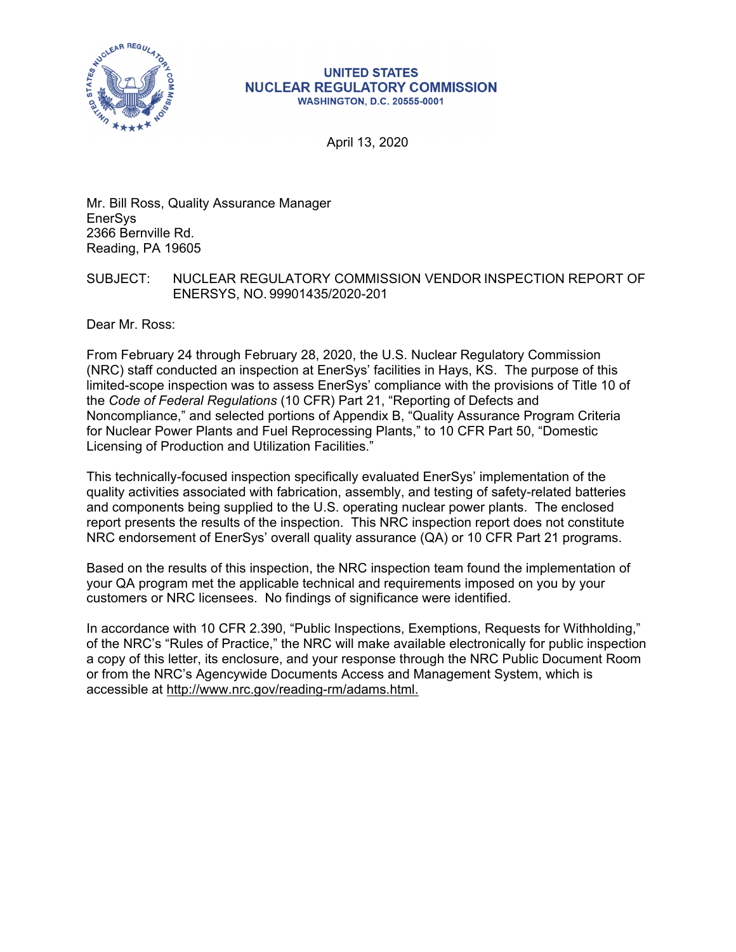

#### **UNITED STATES NUCLEAR REGULATORY COMMISSION WASHINGTON, D.C. 20555-0001**

April 13, 2020

Mr. Bill Ross, Quality Assurance Manager EnerSys 2366 Bernville Rd. Reading, PA 19605

#### SUBJECT: NUCLEAR REGULATORY COMMISSION VENDOR INSPECTION REPORT OF ENERSYS, NO. 99901435/2020-201

Dear Mr. Ross:

From February 24 through February 28, 2020, the U.S. Nuclear Regulatory Commission (NRC) staff conducted an inspection at EnerSys' facilities in Hays, KS. The purpose of this limited-scope inspection was to assess EnerSys' compliance with the provisions of Title 10 of the *Code of Federal Regulations* (10 CFR) Part 21, "Reporting of Defects and Noncompliance," and selected portions of Appendix B, "Quality Assurance Program Criteria for Nuclear Power Plants and Fuel Reprocessing Plants," to 10 CFR Part 50, "Domestic Licensing of Production and Utilization Facilities."

This technically-focused inspection specifically evaluated EnerSys' implementation of the quality activities associated with fabrication, assembly, and testing of safety-related batteries and components being supplied to the U.S. operating nuclear power plants. The enclosed report presents the results of the inspection. This NRC inspection report does not constitute NRC endorsement of EnerSys' overall quality assurance (QA) or 10 CFR Part 21 programs.

Based on the results of this inspection, the NRC inspection team found the implementation of your QA program met the applicable technical and requirements imposed on you by your customers or NRC licensees. No findings of significance were identified.

In accordance with 10 CFR 2.390, "Public Inspections, Exemptions, Requests for Withholding," of the NRC's "Rules of Practice," the NRC will make available electronically for public inspection a copy of this letter, its enclosure, and your response through the NRC Public Document Room or from the NRC's Agencywide Documents Access and Management System, which is accessible at http://www.nrc.gov/reading-rm/adams.html.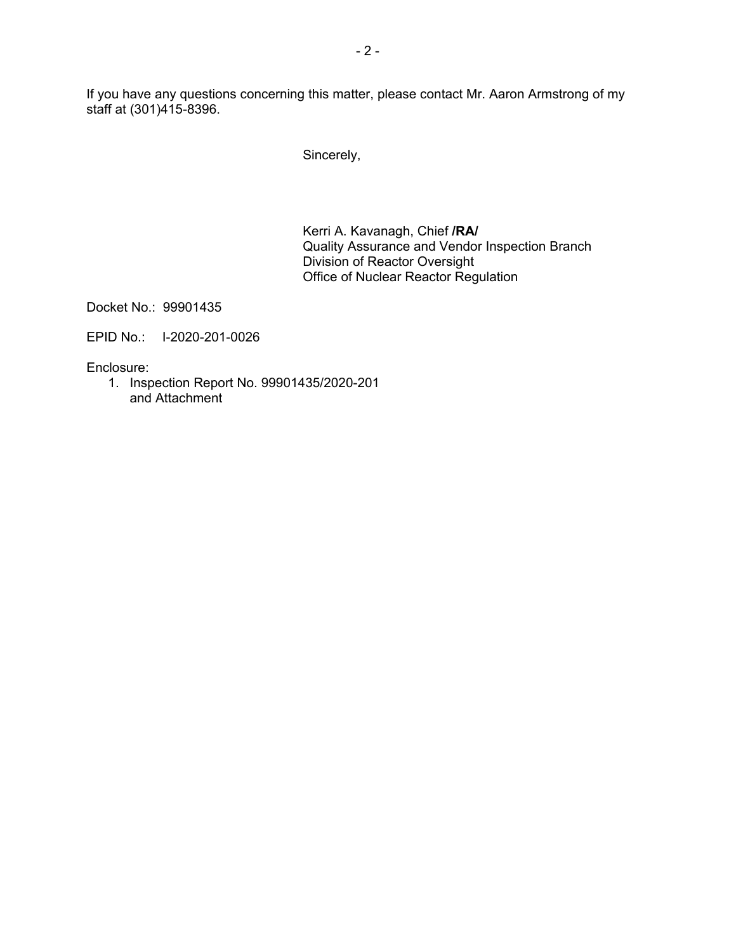If you have any questions concerning this matter, please contact Mr. Aaron Armstrong of my staff at (301)415-8396.

Sincerely,

Kerri A. Kavanagh, Chief **/RA/**  Quality Assurance and Vendor Inspection Branch Division of Reactor Oversight Office of Nuclear Reactor Regulation

Docket No.: 99901435

EPID No.: I-2020-201-0026

Enclosure:

1. Inspection Report No. 99901435/2020-201 and Attachment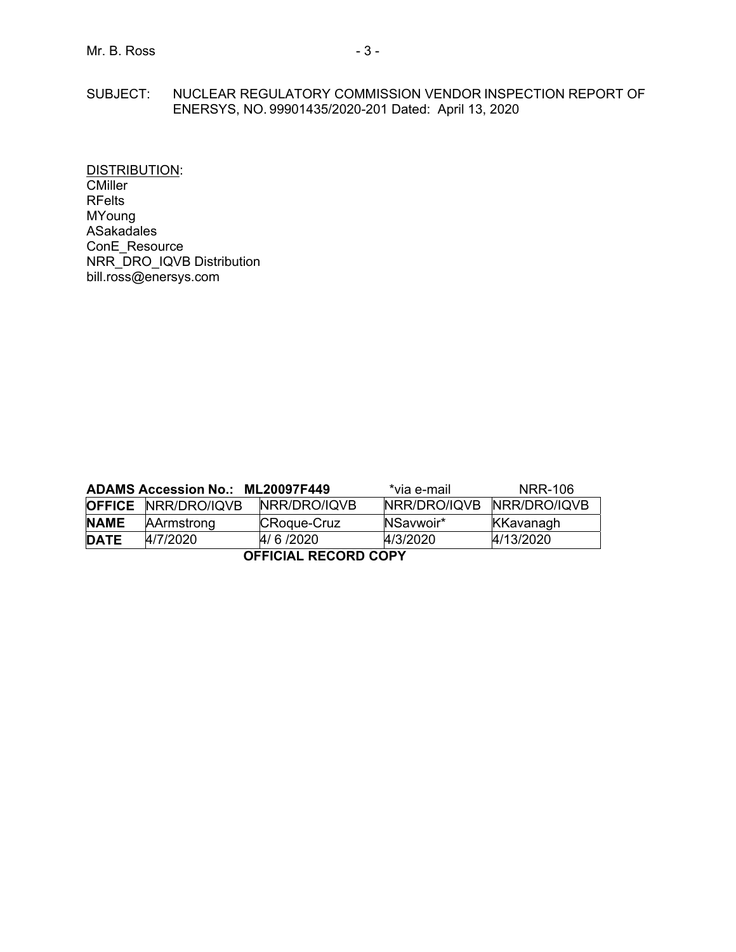## SUBJECT: NUCLEAR REGULATORY COMMISSION VENDOR INSPECTION REPORT OF ENERSYS, NO. 99901435/2020-201 Dated: April 13, 2020

DISTRIBUTION: **CMiller** RFelts MYoung ASakadales ConE\_Resource NRR\_DRO\_IQVB Distribution bill.ross@enersys.com

| ADAMS Accession No.: ML20097F449 |                            |              | *via e-mail :             | NRR-106   |  |  |  |
|----------------------------------|----------------------------|--------------|---------------------------|-----------|--|--|--|
|                                  | <b>OFFICE NRR/DRO/IQVB</b> | NRR/DRO/IQVB | NRR/DRO/IQVB NRR/DRO/IQVB |           |  |  |  |
| <b>NAME</b>                      | AArmstrong                 | CRoque-Cruz  | NSavwoir*                 | KKavanagh |  |  |  |
| <b>DATE</b>                      | 4/7/2020                   | 4/6/2020     | 4/3/2020                  | 4/13/2020 |  |  |  |
| <b>OFFICIAL RECORD COPY</b>      |                            |              |                           |           |  |  |  |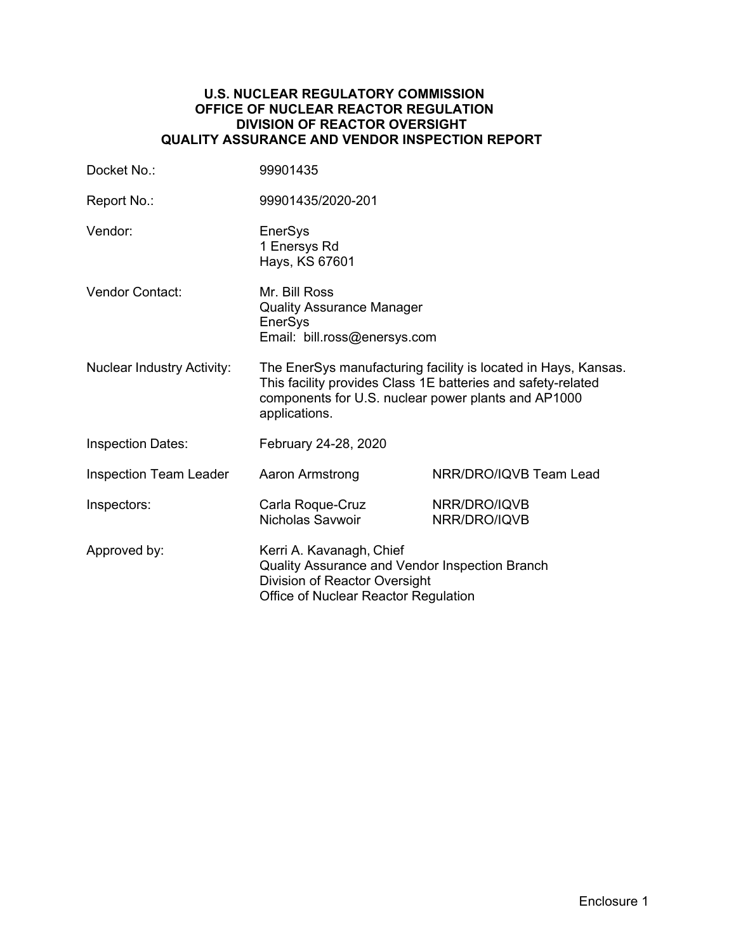#### **U.S. NUCLEAR REGULATORY COMMISSION OFFICE OF NUCLEAR REACTOR REGULATION DIVISION OF REACTOR OVERSIGHT QUALITY ASSURANCE AND VENDOR INSPECTION REPORT**

| Docket No.:                       | 99901435                                                                                                                                                                                               |                              |  |
|-----------------------------------|--------------------------------------------------------------------------------------------------------------------------------------------------------------------------------------------------------|------------------------------|--|
| Report No.:                       | 99901435/2020-201                                                                                                                                                                                      |                              |  |
| Vendor:                           | EnerSys<br>1 Enersys Rd<br>Hays, KS 67601                                                                                                                                                              |                              |  |
| Vendor Contact:                   | Mr. Bill Ross<br><b>Quality Assurance Manager</b><br>EnerSys<br>Email: bill.ross@enersys.com                                                                                                           |                              |  |
| <b>Nuclear Industry Activity:</b> | The EnerSys manufacturing facility is located in Hays, Kansas.<br>This facility provides Class 1E batteries and safety-related<br>components for U.S. nuclear power plants and AP1000<br>applications. |                              |  |
| <b>Inspection Dates:</b>          | February 24-28, 2020                                                                                                                                                                                   |                              |  |
| <b>Inspection Team Leader</b>     | Aaron Armstrong                                                                                                                                                                                        | NRR/DRO/IQVB Team Lead       |  |
| Inspectors:                       | Carla Roque-Cruz<br>Nicholas Savwoir                                                                                                                                                                   | NRR/DRO/IQVB<br>NRR/DRO/IQVB |  |
| Approved by:                      | Kerri A. Kavanagh, Chief<br>Quality Assurance and Vendor Inspection Branch<br>Division of Reactor Oversight<br>Office of Nuclear Reactor Regulation                                                    |                              |  |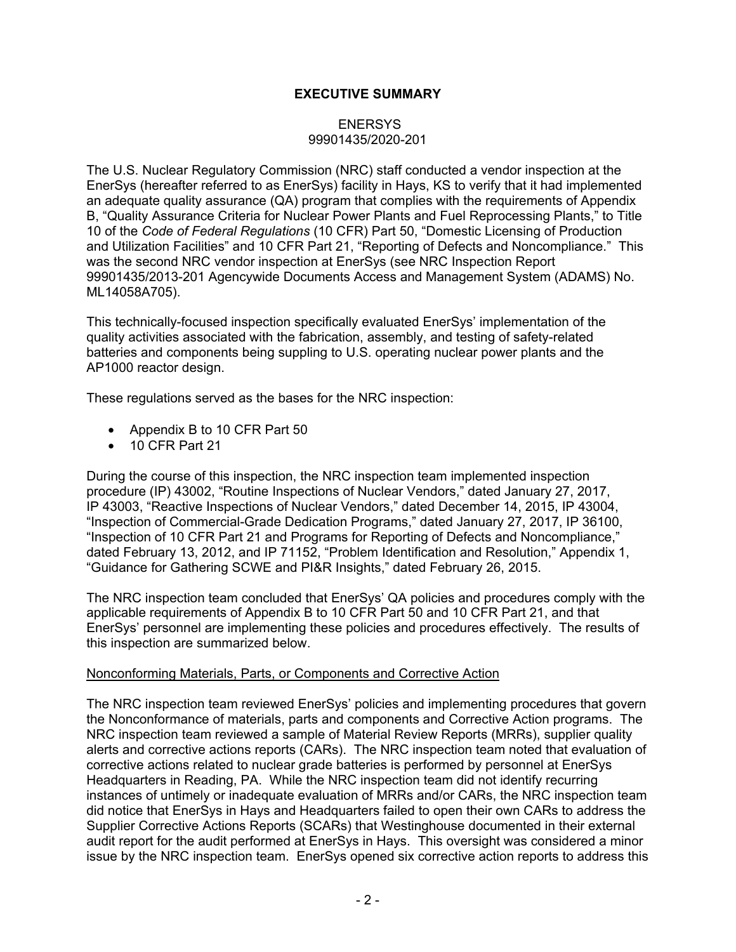# **EXECUTIVE SUMMARY**

## **ENERSYS** 99901435/2020-201

The U.S. Nuclear Regulatory Commission (NRC) staff conducted a vendor inspection at the EnerSys (hereafter referred to as EnerSys) facility in Hays, KS to verify that it had implemented an adequate quality assurance (QA) program that complies with the requirements of Appendix B, "Quality Assurance Criteria for Nuclear Power Plants and Fuel Reprocessing Plants," to Title 10 of the *Code of Federal Regulations* (10 CFR) Part 50, "Domestic Licensing of Production and Utilization Facilities" and 10 CFR Part 21, "Reporting of Defects and Noncompliance." This was the second NRC vendor inspection at EnerSys (see NRC Inspection Report 99901435/2013-201 Agencywide Documents Access and Management System (ADAMS) No. ML14058A705).

This technically-focused inspection specifically evaluated EnerSys' implementation of the quality activities associated with the fabrication, assembly, and testing of safety-related batteries and components being suppling to U.S. operating nuclear power plants and the AP1000 reactor design.

These regulations served as the bases for the NRC inspection:

- Appendix B to 10 CFR Part 50
- 10 CFR Part 21

During the course of this inspection, the NRC inspection team implemented inspection procedure (IP) 43002, "Routine Inspections of Nuclear Vendors," dated January 27, 2017, IP 43003, "Reactive Inspections of Nuclear Vendors," dated December 14, 2015, IP 43004, "Inspection of Commercial-Grade Dedication Programs," dated January 27, 2017, IP 36100, "Inspection of 10 CFR Part 21 and Programs for Reporting of Defects and Noncompliance," dated February 13, 2012, and IP 71152, "Problem Identification and Resolution," Appendix 1, "Guidance for Gathering SCWE and PI&R Insights," dated February 26, 2015.

The NRC inspection team concluded that EnerSys' QA policies and procedures comply with the applicable requirements of Appendix B to 10 CFR Part 50 and 10 CFR Part 21, and that EnerSys' personnel are implementing these policies and procedures effectively. The results of this inspection are summarized below.

#### Nonconforming Materials, Parts, or Components and Corrective Action

The NRC inspection team reviewed EnerSys' policies and implementing procedures that govern the Nonconformance of materials, parts and components and Corrective Action programs. The NRC inspection team reviewed a sample of Material Review Reports (MRRs), supplier quality alerts and corrective actions reports (CARs). The NRC inspection team noted that evaluation of corrective actions related to nuclear grade batteries is performed by personnel at EnerSys Headquarters in Reading, PA. While the NRC inspection team did not identify recurring instances of untimely or inadequate evaluation of MRRs and/or CARs, the NRC inspection team did notice that EnerSys in Hays and Headquarters failed to open their own CARs to address the Supplier Corrective Actions Reports (SCARs) that Westinghouse documented in their external audit report for the audit performed at EnerSys in Hays. This oversight was considered a minor issue by the NRC inspection team. EnerSys opened six corrective action reports to address this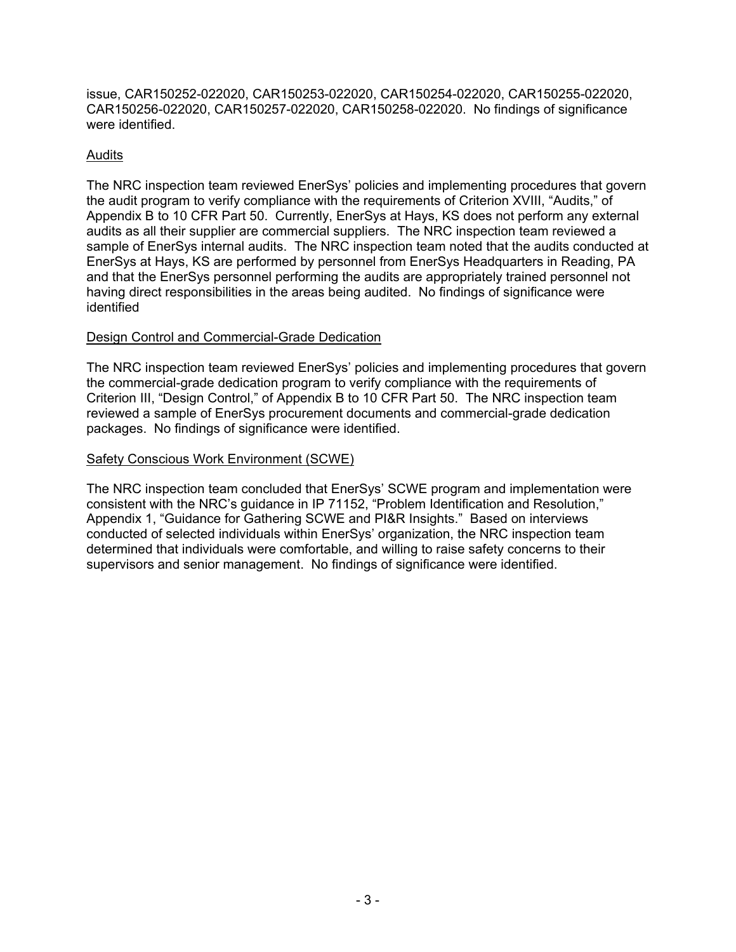issue, CAR150252-022020, CAR150253-022020, CAR150254-022020, CAR150255-022020, CAR150256-022020, CAR150257-022020, CAR150258-022020. No findings of significance were identified.

# Audits

The NRC inspection team reviewed EnerSys' policies and implementing procedures that govern the audit program to verify compliance with the requirements of Criterion XVIII, "Audits," of Appendix B to 10 CFR Part 50. Currently, EnerSys at Hays, KS does not perform any external audits as all their supplier are commercial suppliers. The NRC inspection team reviewed a sample of EnerSys internal audits. The NRC inspection team noted that the audits conducted at EnerSys at Hays, KS are performed by personnel from EnerSys Headquarters in Reading, PA and that the EnerSys personnel performing the audits are appropriately trained personnel not having direct responsibilities in the areas being audited. No findings of significance were identified

# Design Control and Commercial-Grade Dedication

The NRC inspection team reviewed EnerSys' policies and implementing procedures that govern the commercial-grade dedication program to verify compliance with the requirements of Criterion III, "Design Control," of Appendix B to 10 CFR Part 50. The NRC inspection team reviewed a sample of EnerSys procurement documents and commercial-grade dedication packages. No findings of significance were identified.

## Safety Conscious Work Environment (SCWE)

The NRC inspection team concluded that EnerSys' SCWE program and implementation were consistent with the NRC's guidance in IP 71152, "Problem Identification and Resolution," Appendix 1, "Guidance for Gathering SCWE and PI&R Insights." Based on interviews conducted of selected individuals within EnerSys' organization, the NRC inspection team determined that individuals were comfortable, and willing to raise safety concerns to their supervisors and senior management. No findings of significance were identified.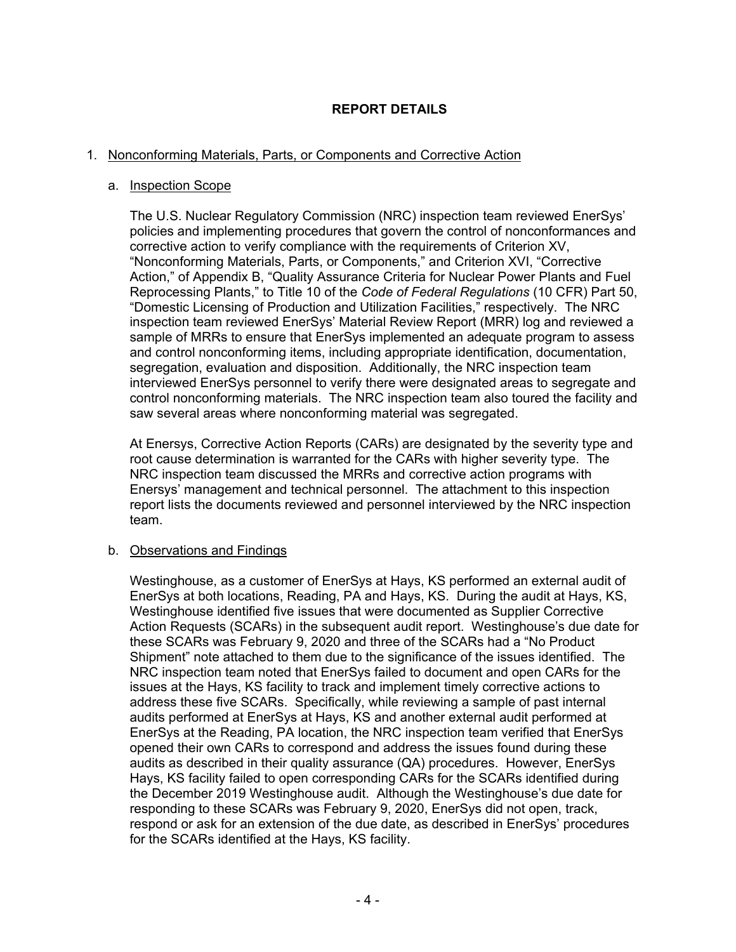# **REPORT DETAILS**

## 1. Nonconforming Materials, Parts, or Components and Corrective Action

#### a. Inspection Scope

The U.S. Nuclear Regulatory Commission (NRC) inspection team reviewed EnerSys' policies and implementing procedures that govern the control of nonconformances and corrective action to verify compliance with the requirements of Criterion XV, "Nonconforming Materials, Parts, or Components," and Criterion XVI, "Corrective Action," of Appendix B, "Quality Assurance Criteria for Nuclear Power Plants and Fuel Reprocessing Plants," to Title 10 of the *Code of Federal Regulations* (10 CFR) Part 50, "Domestic Licensing of Production and Utilization Facilities," respectively. The NRC inspection team reviewed EnerSys' Material Review Report (MRR) log and reviewed a sample of MRRs to ensure that EnerSys implemented an adequate program to assess and control nonconforming items, including appropriate identification, documentation, segregation, evaluation and disposition. Additionally, the NRC inspection team interviewed EnerSys personnel to verify there were designated areas to segregate and control nonconforming materials. The NRC inspection team also toured the facility and saw several areas where nonconforming material was segregated.

At Enersys, Corrective Action Reports (CARs) are designated by the severity type and root cause determination is warranted for the CARs with higher severity type. The NRC inspection team discussed the MRRs and corrective action programs with Enersys' management and technical personnel. The attachment to this inspection report lists the documents reviewed and personnel interviewed by the NRC inspection team.

## b. Observations and Findings

Westinghouse, as a customer of EnerSys at Hays, KS performed an external audit of EnerSys at both locations, Reading, PA and Hays, KS. During the audit at Hays, KS, Westinghouse identified five issues that were documented as Supplier Corrective Action Requests (SCARs) in the subsequent audit report. Westinghouse's due date for these SCARs was February 9, 2020 and three of the SCARs had a "No Product Shipment" note attached to them due to the significance of the issues identified. The NRC inspection team noted that EnerSys failed to document and open CARs for the issues at the Hays, KS facility to track and implement timely corrective actions to address these five SCARs. Specifically, while reviewing a sample of past internal audits performed at EnerSys at Hays, KS and another external audit performed at EnerSys at the Reading, PA location, the NRC inspection team verified that EnerSys opened their own CARs to correspond and address the issues found during these audits as described in their quality assurance (QA) procedures. However, EnerSys Hays, KS facility failed to open corresponding CARs for the SCARs identified during the December 2019 Westinghouse audit. Although the Westinghouse's due date for responding to these SCARs was February 9, 2020, EnerSys did not open, track, respond or ask for an extension of the due date, as described in EnerSys' procedures for the SCARs identified at the Hays, KS facility.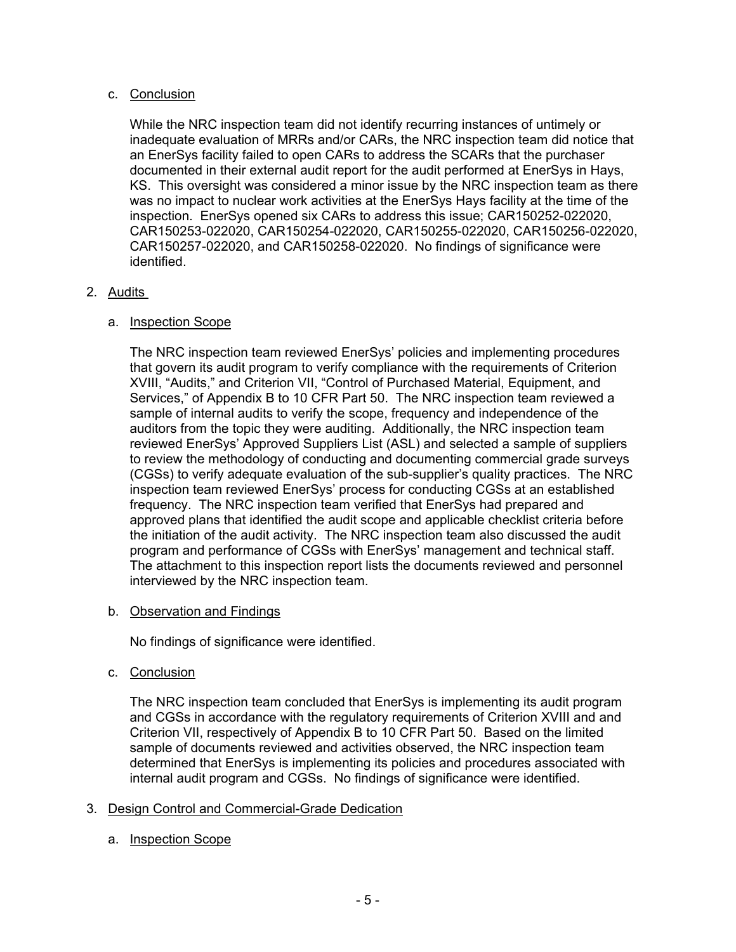# c. Conclusion

While the NRC inspection team did not identify recurring instances of untimely or inadequate evaluation of MRRs and/or CARs, the NRC inspection team did notice that an EnerSys facility failed to open CARs to address the SCARs that the purchaser documented in their external audit report for the audit performed at EnerSys in Hays, KS. This oversight was considered a minor issue by the NRC inspection team as there was no impact to nuclear work activities at the EnerSys Hays facility at the time of the inspection. EnerSys opened six CARs to address this issue; CAR150252-022020, CAR150253-022020, CAR150254-022020, CAR150255-022020, CAR150256-022020, CAR150257-022020, and CAR150258-022020. No findings of significance were identified.

# 2. Audits

# a. Inspection Scope

The NRC inspection team reviewed EnerSys' policies and implementing procedures that govern its audit program to verify compliance with the requirements of Criterion XVIII, "Audits," and Criterion VII, "Control of Purchased Material, Equipment, and Services," of Appendix B to 10 CFR Part 50. The NRC inspection team reviewed a sample of internal audits to verify the scope, frequency and independence of the auditors from the topic they were auditing. Additionally, the NRC inspection team reviewed EnerSys' Approved Suppliers List (ASL) and selected a sample of suppliers to review the methodology of conducting and documenting commercial grade surveys (CGSs) to verify adequate evaluation of the sub-supplier's quality practices. The NRC inspection team reviewed EnerSys' process for conducting CGSs at an established frequency. The NRC inspection team verified that EnerSys had prepared and approved plans that identified the audit scope and applicable checklist criteria before the initiation of the audit activity. The NRC inspection team also discussed the audit program and performance of CGSs with EnerSys' management and technical staff. The attachment to this inspection report lists the documents reviewed and personnel interviewed by the NRC inspection team.

## b. Observation and Findings

No findings of significance were identified.

c. Conclusion

The NRC inspection team concluded that EnerSys is implementing its audit program and CGSs in accordance with the regulatory requirements of Criterion XVIII and and Criterion VII, respectively of Appendix B to 10 CFR Part 50. Based on the limited sample of documents reviewed and activities observed, the NRC inspection team determined that EnerSys is implementing its policies and procedures associated with internal audit program and CGSs. No findings of significance were identified.

# 3. Design Control and Commercial-Grade Dedication

# a. Inspection Scope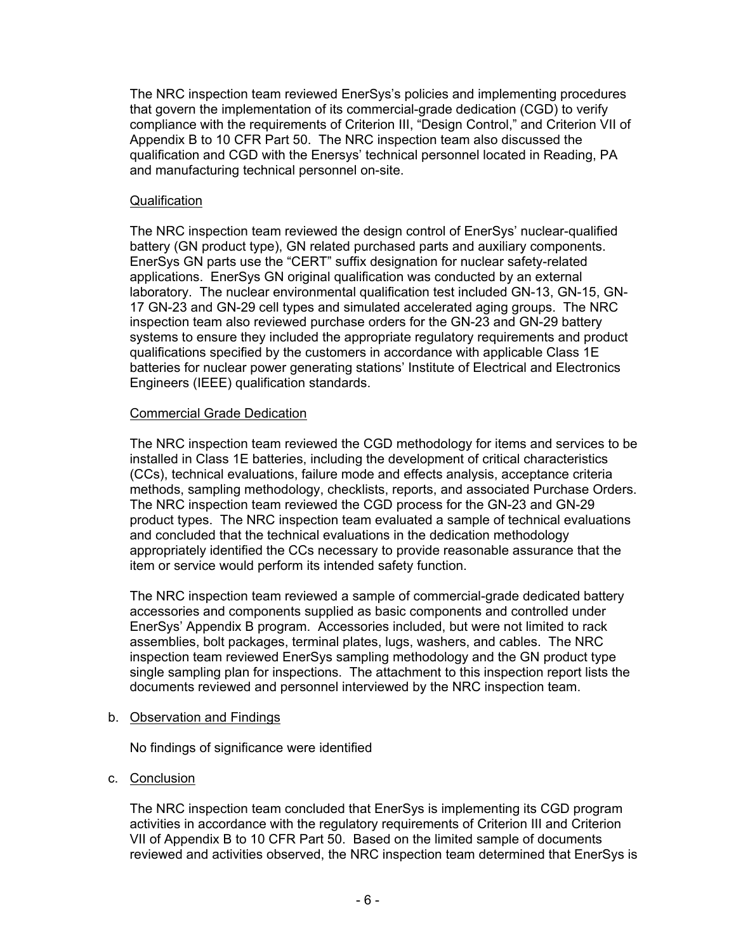The NRC inspection team reviewed EnerSys's policies and implementing procedures that govern the implementation of its commercial-grade dedication (CGD) to verify compliance with the requirements of Criterion III, "Design Control," and Criterion VII of Appendix B to 10 CFR Part 50. The NRC inspection team also discussed the qualification and CGD with the Enersys' technical personnel located in Reading, PA and manufacturing technical personnel on-site.

#### Qualification

The NRC inspection team reviewed the design control of EnerSys' nuclear-qualified battery (GN product type), GN related purchased parts and auxiliary components. EnerSys GN parts use the "CERT" suffix designation for nuclear safety-related applications. EnerSys GN original qualification was conducted by an external laboratory. The nuclear environmental qualification test included GN-13, GN-15, GN-17 GN-23 and GN-29 cell types and simulated accelerated aging groups. The NRC inspection team also reviewed purchase orders for the GN-23 and GN-29 battery systems to ensure they included the appropriate regulatory requirements and product qualifications specified by the customers in accordance with applicable Class 1E batteries for nuclear power generating stations' Institute of Electrical and Electronics Engineers (IEEE) qualification standards.

#### Commercial Grade Dedication

The NRC inspection team reviewed the CGD methodology for items and services to be installed in Class 1E batteries, including the development of critical characteristics (CCs), technical evaluations, failure mode and effects analysis, acceptance criteria methods, sampling methodology, checklists, reports, and associated Purchase Orders. The NRC inspection team reviewed the CGD process for the GN-23 and GN-29 product types. The NRC inspection team evaluated a sample of technical evaluations and concluded that the technical evaluations in the dedication methodology appropriately identified the CCs necessary to provide reasonable assurance that the item or service would perform its intended safety function.

The NRC inspection team reviewed a sample of commercial-grade dedicated battery accessories and components supplied as basic components and controlled under EnerSys' Appendix B program. Accessories included, but were not limited to rack assemblies, bolt packages, terminal plates, lugs, washers, and cables. The NRC inspection team reviewed EnerSys sampling methodology and the GN product type single sampling plan for inspections. The attachment to this inspection report lists the documents reviewed and personnel interviewed by the NRC inspection team.

#### b. Observation and Findings

No findings of significance were identified

## c. Conclusion

The NRC inspection team concluded that EnerSys is implementing its CGD program activities in accordance with the regulatory requirements of Criterion III and Criterion VII of Appendix B to 10 CFR Part 50. Based on the limited sample of documents reviewed and activities observed, the NRC inspection team determined that EnerSys is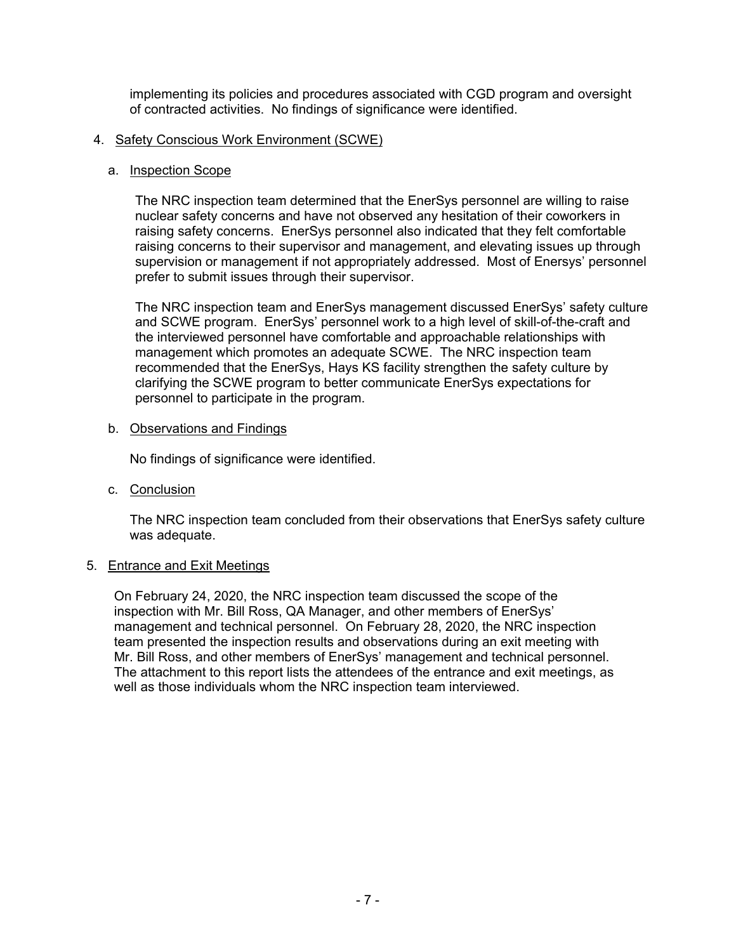implementing its policies and procedures associated with CGD program and oversight of contracted activities. No findings of significance were identified.

#### 4. Safety Conscious Work Environment (SCWE)

#### a. Inspection Scope

The NRC inspection team determined that the EnerSys personnel are willing to raise nuclear safety concerns and have not observed any hesitation of their coworkers in raising safety concerns. EnerSys personnel also indicated that they felt comfortable raising concerns to their supervisor and management, and elevating issues up through supervision or management if not appropriately addressed. Most of Enersys' personnel prefer to submit issues through their supervisor.

The NRC inspection team and EnerSys management discussed EnerSys' safety culture and SCWE program. EnerSys' personnel work to a high level of skill-of-the-craft and the interviewed personnel have comfortable and approachable relationships with management which promotes an adequate SCWE. The NRC inspection team recommended that the EnerSys, Hays KS facility strengthen the safety culture by clarifying the SCWE program to better communicate EnerSys expectations for personnel to participate in the program.

#### b. Observations and Findings

No findings of significance were identified.

c. Conclusion

The NRC inspection team concluded from their observations that EnerSys safety culture was adequate.

## 5. Entrance and Exit Meetings

On February 24, 2020, the NRC inspection team discussed the scope of the inspection with Mr. Bill Ross, QA Manager, and other members of EnerSys' management and technical personnel. On February 28, 2020, the NRC inspection team presented the inspection results and observations during an exit meeting with Mr. Bill Ross, and other members of EnerSys' management and technical personnel. The attachment to this report lists the attendees of the entrance and exit meetings, as well as those individuals whom the NRC inspection team interviewed.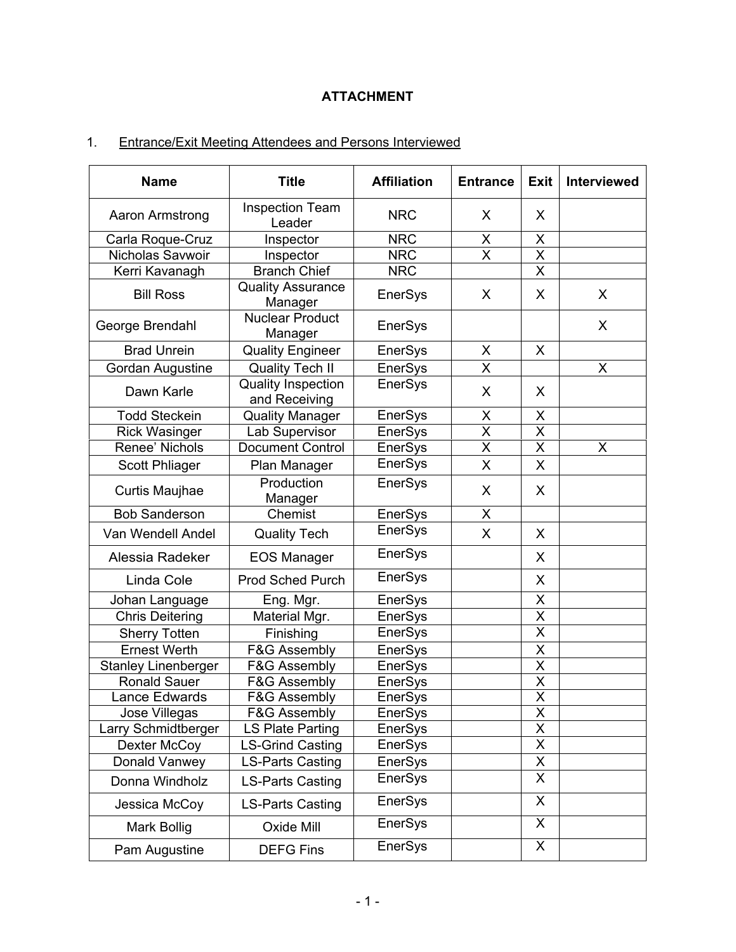# **ATTACHMENT**

# 1. Entrance/Exit Meeting Attendees and Persons Interviewed

| <b>Name</b>                | <b>Title</b>                               | <b>Affiliation</b> | <b>Entrance</b>         | <b>Exit</b>             | <b>Interviewed</b> |
|----------------------------|--------------------------------------------|--------------------|-------------------------|-------------------------|--------------------|
| Aaron Armstrong            | <b>Inspection Team</b><br>Leader           | <b>NRC</b>         | X                       | X                       |                    |
| Carla Roque-Cruz           | Inspector                                  | <b>NRC</b>         | X                       | X                       |                    |
| Nicholas Savwoir           | Inspector                                  | <b>NRC</b>         | $\overline{\mathsf{x}}$ | $\overline{\mathsf{x}}$ |                    |
| Kerri Kavanagh             | <b>Branch Chief</b>                        | <b>NRC</b>         |                         | X                       |                    |
| <b>Bill Ross</b>           | <b>Quality Assurance</b><br>Manager        | EnerSys            | X                       | X                       | X                  |
| George Brendahl            | <b>Nuclear Product</b><br>Manager          | EnerSys            |                         |                         | X                  |
| <b>Brad Unrein</b>         | <b>Quality Engineer</b>                    | EnerSys            | X                       | X                       |                    |
| <b>Gordan Augustine</b>    | <b>Quality Tech II</b>                     | EnerSys            | $\overline{\sf x}$      |                         | X                  |
| Dawn Karle                 | <b>Quality Inspection</b><br>and Receiving | EnerSys            | X                       | X                       |                    |
| <b>Todd Steckein</b>       | <b>Quality Manager</b>                     | EnerSys            | X                       | X                       |                    |
| <b>Rick Wasinger</b>       | Lab Supervisor                             | <b>EnerSys</b>     | $\overline{\mathsf{x}}$ | $\overline{\mathsf{X}}$ |                    |
| Renee' Nichols             | <b>Document Control</b>                    | EnerSys            | X                       | Χ                       | X                  |
| <b>Scott Phliager</b>      | Plan Manager                               | EnerSys            | X                       | X                       |                    |
| Curtis Maujhae             | Production<br>Manager                      | EnerSys            | X                       | X.                      |                    |
| <b>Bob Sanderson</b>       | Chemist                                    | <b>EnerSys</b>     | X.                      |                         |                    |
| Van Wendell Andel          | <b>Quality Tech</b>                        | <b>EnerSys</b>     | X.                      | X                       |                    |
| Alessia Radeker            | <b>EOS Manager</b>                         | EnerSys            |                         | X                       |                    |
| Linda Cole                 | <b>Prod Sched Purch</b>                    | EnerSys            |                         | X                       |                    |
| Johan Language             | Eng. Mgr.                                  | EnerSys            |                         | Χ                       |                    |
| <b>Chris Deitering</b>     | Material Mgr.                              | EnerSys            |                         | X                       |                    |
| <b>Sherry Totten</b>       | Finishing                                  | <b>EnerSys</b>     |                         | X                       |                    |
| <b>Ernest Werth</b>        | F&G Assembly                               | EnerSys            |                         | X                       |                    |
| <b>Stanley Linenberger</b> | F&G Assembly                               | EnerSys            |                         | $\overline{\mathsf{X}}$ |                    |
| <b>Ronald Sauer</b>        | <b>F&amp;G Assembly</b>                    | EnerSys            |                         | $\overline{X}$          |                    |
| ance Edwards               | <b>F&amp;G Assembly</b>                    | EnerSys            |                         | $\overline{\mathsf{x}}$ |                    |
| Jose Villegas              | <b>F&amp;G Assembly</b>                    | <b>EnerSys</b>     |                         | Χ                       |                    |
| Larry Schmidtberger        | <b>LS Plate Parting</b>                    | EnerSys            |                         | X                       |                    |
| Dexter McCoy               | <b>LS-Grind Casting</b>                    | EnerSys            |                         | X                       |                    |
| Donald Vanwey              | <b>LS-Parts Casting</b>                    | <b>EnerSys</b>     |                         | X                       |                    |
| Donna Windholz             | <b>LS-Parts Casting</b>                    | EnerSys            |                         | X                       |                    |
| Jessica McCoy              | <b>LS-Parts Casting</b>                    | <b>EnerSys</b>     |                         | X                       |                    |
| Mark Bollig                | Oxide Mill                                 | EnerSys            |                         | X                       |                    |
| Pam Augustine              | <b>DEFG Fins</b>                           | EnerSys            |                         | X                       |                    |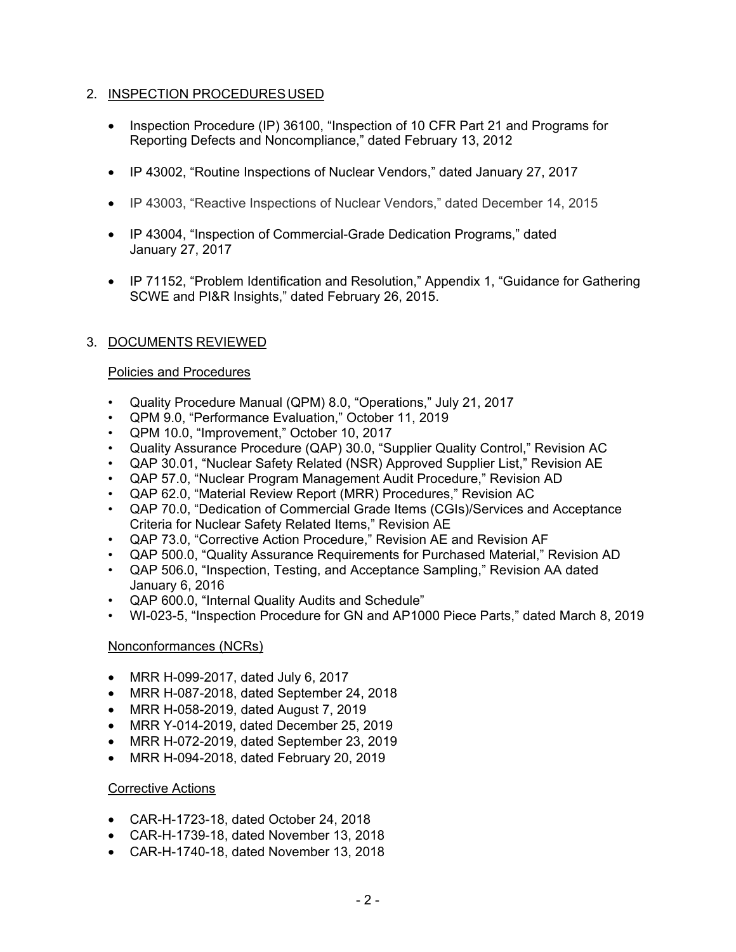## 2. INSPECTION PROCEDURES USED

- Inspection Procedure (IP) 36100, "Inspection of 10 CFR Part 21 and Programs for Reporting Defects and Noncompliance," dated February 13, 2012
- IP 43002, "Routine Inspections of Nuclear Vendors," dated January 27, 2017
- IP 43003, "Reactive Inspections of Nuclear Vendors," dated December 14, 2015
- IP 43004, "Inspection of Commercial-Grade Dedication Programs," dated January 27, 2017
- IP 71152, "Problem Identification and Resolution," Appendix 1, "Guidance for Gathering SCWE and PI&R Insights," dated February 26, 2015.

# 3. DOCUMENTS REVIEWED

## Policies and Procedures

- Quality Procedure Manual (QPM) 8.0, "Operations," July 21, 2017
- QPM 9.0, "Performance Evaluation," October 11, 2019
- QPM 10.0, "Improvement," October 10, 2017
- Quality Assurance Procedure (QAP) 30.0, "Supplier Quality Control," Revision AC
- QAP 30.01, "Nuclear Safety Related (NSR) Approved Supplier List," Revision AE
- QAP 57.0, "Nuclear Program Management Audit Procedure," Revision AD
- QAP 62.0, "Material Review Report (MRR) Procedures," Revision AC
- QAP 70.0, "Dedication of Commercial Grade Items (CGIs)/Services and Acceptance Criteria for Nuclear Safety Related Items," Revision AE
- QAP 73.0, "Corrective Action Procedure," Revision AE and Revision AF
- QAP 500.0, "Quality Assurance Requirements for Purchased Material," Revision AD
- QAP 506.0, "Inspection, Testing, and Acceptance Sampling," Revision AA dated January 6, 2016
- QAP 600.0, "Internal Quality Audits and Schedule"
- WI-023-5, "Inspection Procedure for GN and AP1000 Piece Parts," dated March 8, 2019

# Nonconformances (NCRs)

- MRR H-099-2017, dated July 6, 2017
- MRR H-087-2018, dated September 24, 2018
- MRR H-058-2019, dated August 7, 2019
- MRR Y-014-2019, dated December 25, 2019
- MRR H-072-2019, dated September 23, 2019
- MRR H-094-2018, dated February 20, 2019

# Corrective Actions

- CAR-H-1723-18, dated October 24, 2018
- CAR-H-1739-18, dated November 13, 2018
- CAR-H-1740-18, dated November 13, 2018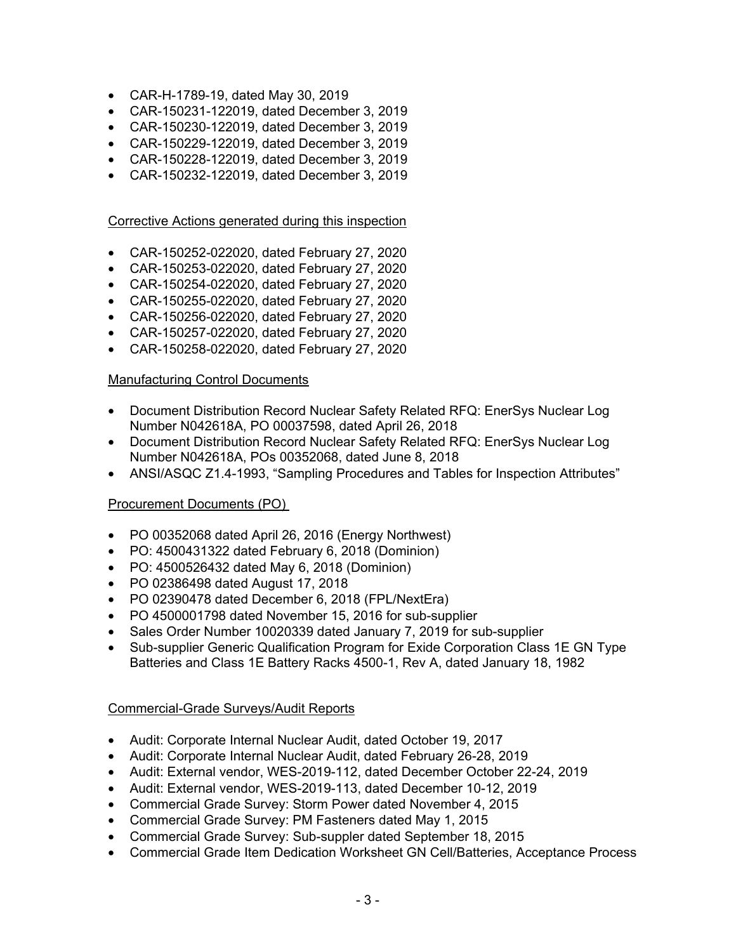- CAR-H-1789-19, dated May 30, 2019
- CAR-150231-122019, dated December 3, 2019
- CAR-150230-122019, dated December 3, 2019
- CAR-150229-122019, dated December 3, 2019
- CAR-150228-122019, dated December 3, 2019
- CAR-150232-122019, dated December 3, 2019

#### Corrective Actions generated during this inspection

- CAR-150252-022020, dated February 27, 2020
- CAR-150253-022020, dated February 27, 2020
- CAR-150254-022020, dated February 27, 2020
- CAR-150255-022020, dated February 27, 2020
- CAR-150256-022020, dated February 27, 2020
- CAR-150257-022020, dated February 27, 2020
- CAR-150258-022020, dated February 27, 2020

#### Manufacturing Control Documents

- Document Distribution Record Nuclear Safety Related RFQ: EnerSys Nuclear Log Number N042618A, PO 00037598, dated April 26, 2018
- Document Distribution Record Nuclear Safety Related RFQ: EnerSys Nuclear Log Number N042618A, POs 00352068, dated June 8, 2018
- ANSI/ASQC Z1.4-1993, "Sampling Procedures and Tables for Inspection Attributes"

#### Procurement Documents (PO)

- PO 00352068 dated April 26, 2016 (Energy Northwest)
- PO: 4500431322 dated February 6, 2018 (Dominion)
- PO: 4500526432 dated May 6, 2018 (Dominion)
- PO 02386498 dated August 17, 2018
- PO 02390478 dated December 6, 2018 (FPL/NextEra)
- PO 4500001798 dated November 15, 2016 for sub-supplier
- Sales Order Number 10020339 dated January 7, 2019 for sub-supplier
- Sub-supplier Generic Qualification Program for Exide Corporation Class 1E GN Type Batteries and Class 1E Battery Racks 4500-1, Rev A, dated January 18, 1982

#### Commercial-Grade Surveys/Audit Reports

- Audit: Corporate Internal Nuclear Audit, dated October 19, 2017
- Audit: Corporate Internal Nuclear Audit, dated February 26-28, 2019
- Audit: External vendor, WES-2019-112, dated December October 22-24, 2019
- Audit: External vendor, WES-2019-113, dated December 10-12, 2019
- Commercial Grade Survey: Storm Power dated November 4, 2015
- Commercial Grade Survey: PM Fasteners dated May 1, 2015
- Commercial Grade Survey: Sub-suppler dated September 18, 2015
- Commercial Grade Item Dedication Worksheet GN Cell/Batteries, Acceptance Process